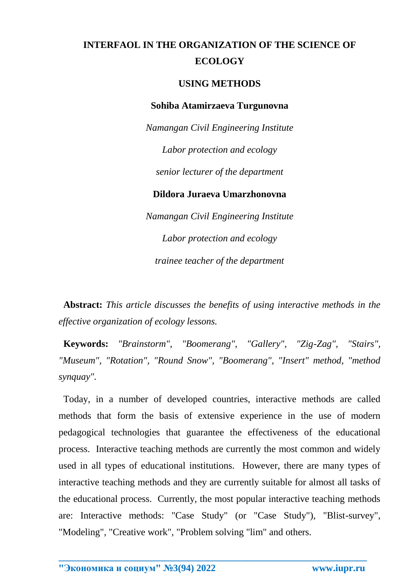## **INTERFAOL IN THE ORGANIZATION OF THE SCIENCE OF ECOLOGY**

## **USING METHODS**

## **Sohiba Atamirzaeva Turgunovna**

*Namangan Civil Engineering Institute Labor protection and ecology senior lecturer of the department* **Dildora Juraeva Umarzhonovna** *Namangan Civil Engineering Institute Labor protection and ecology*

*trainee teacher of the department*

 **Abstract:** *This article discusses the benefits of using interactive methods in the effective organization of ecology lessons.*

 **Keywords:** *"Brainstorm", "Boomerang", "Gallery", "Zig-Zag", "Stairs", "Museum", "Rotation", "Round Snow", "Boomerang", "Insert" method, "method synquay".*

 Today, in a number of developed countries, interactive methods are called methods that form the basis of extensive experience in the use of modern pedagogical technologies that guarantee the effectiveness of the educational process. Interactive teaching methods are currently the most common and widely used in all types of educational institutions. However, there are many types of interactive teaching methods and they are currently suitable for almost all tasks of the educational process. Currently, the most popular interactive teaching methods are: Interactive methods: "Case Study" (or "Case Study"), "Blist-survey", "Modeling", "Creative work", "Problem solving "lim" and others.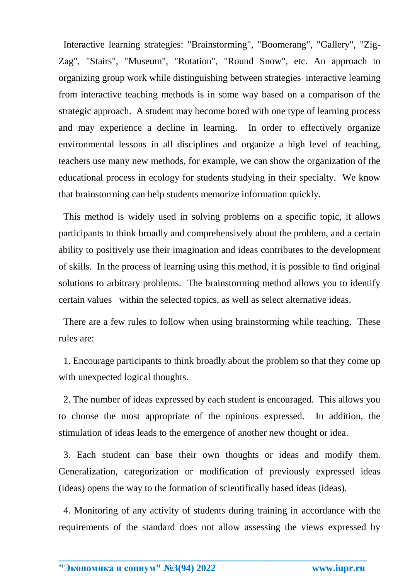Interactive learning strategies: "Brainstorming", "Boomerang", "Gallery", "Zig-Zag", "Stairs", "Museum", "Rotation", "Round Snow", etc. An approach to organizing group work while distinguishing between strategies interactive learning from interactive teaching methods is in some way based on a comparison of the strategic approach. A student may become bored with one type of learning process and may experience a decline in learning. In order to effectively organize environmental lessons in all disciplines and organize a high level of teaching, teachers use many new methods, for example, we can show the organization of the educational process in ecology for students studying in their specialty. We know that brainstorming can help students memorize information quickly.

 This method is widely used in solving problems on a specific topic, it allows participants to think broadly and comprehensively about the problem, and a certain ability to positively use their imagination and ideas contributes to the development of skills. In the process of learning using this method, it is possible to find original solutions to arbitrary problems. The brainstorming method allows you to identify certain values within the selected topics, as well as select alternative ideas.

 There are a few rules to follow when using brainstorming while teaching. These rules are:

 1. Encourage participants to think broadly about the problem so that they come up with unexpected logical thoughts.

 2. The number of ideas expressed by each student is encouraged. This allows you to choose the most appropriate of the opinions expressed. In addition, the stimulation of ideas leads to the emergence of another new thought or idea.

 3. Each student can base their own thoughts or ideas and modify them. Generalization, categorization or modification of previously expressed ideas (ideas) opens the way to the formation of scientifically based ideas (ideas).

 4. Monitoring of any activity of students during training in accordance with the requirements of the standard does not allow assessing the views expressed by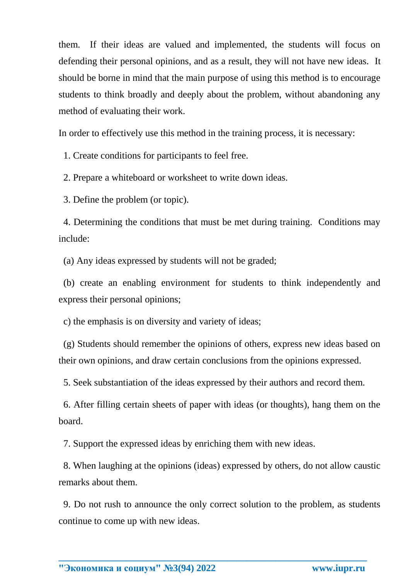them. If their ideas are valued and implemented, the students will focus on defending their personal opinions, and as a result, they will not have new ideas. It should be borne in mind that the main purpose of using this method is to encourage students to think broadly and deeply about the problem, without abandoning any method of evaluating their work.

In order to effectively use this method in the training process, it is necessary:

1. Create conditions for participants to feel free.

2. Prepare a whiteboard or worksheet to write down ideas.

3. Define the problem (or topic).

 4. Determining the conditions that must be met during training. Conditions may include:

(a) Any ideas expressed by students will not be graded;

 (b) create an enabling environment for students to think independently and express their personal opinions;

c) the emphasis is on diversity and variety of ideas;

 (g) Students should remember the opinions of others, express new ideas based on their own opinions, and draw certain conclusions from the opinions expressed.

5. Seek substantiation of the ideas expressed by their authors and record them.

 6. After filling certain sheets of paper with ideas (or thoughts), hang them on the board.

7. Support the expressed ideas by enriching them with new ideas.

 8. When laughing at the opinions (ideas) expressed by others, do not allow caustic remarks about them.

 9. Do not rush to announce the only correct solution to the problem, as students continue to come up with new ideas.